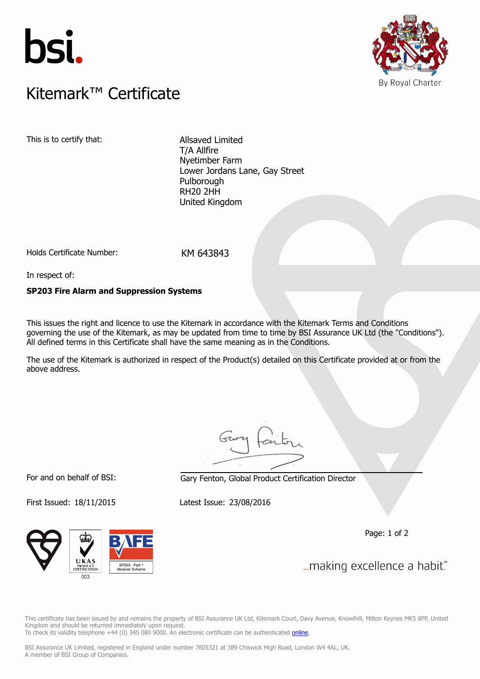



## $K$ itemark $W$  Certificate Kitemark™ Certificate

This is to certify that: Allsaved Limited

T/A Allfire Nyetimber Farm Lower Jordans Lane, Gay Street Pulborough RH20 2HH United Kingdom

Holds Certificate Number: KM 643843

In respect of:

## **SP203 Fire Alarm and Suppression Systems**

This issues the right and licence to use the Kitemark in accordance with the Kitemark Terms and Conditions governing the use of the Kitemark, as may be updated from time to time by BSI Assurance UK Ltd (the "Conditions"). All defined terms in this Certificate shall have the same meaning as in the Conditions.

The use of the Kitemark is authorized in respect of the Product(s) detailed on this Certificate provided at or from the above address.

For and on behalf of BSI: Gary Fenton, Global Product Certification Director

First Issued: 18/11/2015 Latest Issue: 23/08/2016

Page: 1 of 2

... making excellence a habit."

SP203 - Part 1<br>Modular Schem  $003$ 

This certificate has been issued by and remains the property of BSI Assurance UK Ltd, Kitemark Court, Davy Avenue, Knowlhill, Milton Keynes MK5 8PP, United Kingdom and should be returned immediately upon request. To check its validity telephone +44 (0) 345 080 9000. An electronic certificate can be authenticated *[online](https://pgplus.bsigroup.com/CertificateValidation/CertificateValidator.aspx?CertificateNumber=KM+643843&ReIssueDate=23%2f08%2f2016&Template=uk)*.

BSI Assurance UK Limited, registered in England under number 7805321 at 389 Chiswick High Road, London W4 4AL, UK. A member of BSI Group of Companies.